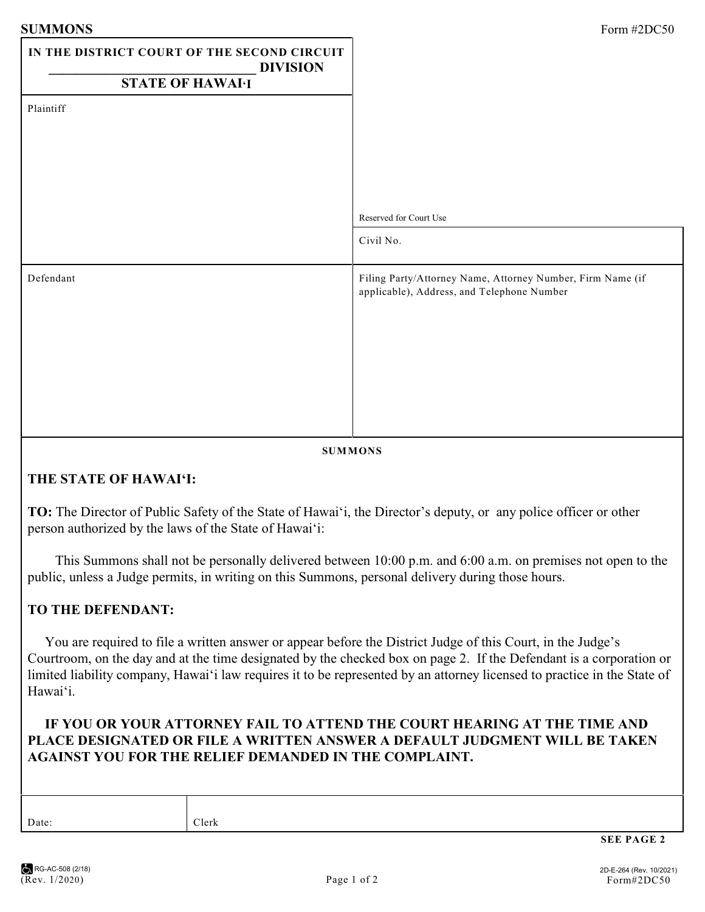| <b>SUMMONS</b>                                                 | Form #2DC50                                                                                              |
|----------------------------------------------------------------|----------------------------------------------------------------------------------------------------------|
| IN THE DISTRICT COURT OF THE SECOND CIRCUIT<br><b>DIVISION</b> |                                                                                                          |
| <b>STATE OF HAWAI·I</b>                                        |                                                                                                          |
| Plaintiff                                                      |                                                                                                          |
|                                                                | Reserved for Court Use                                                                                   |
|                                                                | Civil No.                                                                                                |
| Defendant                                                      | Filing Party/Attorney Name, Attorney Number, Firm Name (if<br>applicable), Address, and Telephone Number |

#### **SUMMONS**

## **THE STATE OF HAWAI'I:**

**TO:** The Director of Public Safety of the State of Hawai'i, the Director's deputy, or any police officer or other person authorized by the laws of the State of Hawai'i:

 This Summons shall not be personally delivered between 10:00 p.m. and 6:00 a.m. on premises not open to the public, unless a Judge permits, in writing on this Summons, personal delivery during those hours.

#### **TO THE DEFENDANT:**

 You are required to file a written answer or appear before the District Judge of this Court, in the Judge's Courtroom, on the day and at the time designated by the checked box on page 2. If the Defendant is a corporation or limited liability company, Hawai'i law requires it to be represented by an attorney licensed to practice in the State of Hawai'i.

### **IF YOU OR YOUR ATTORNEY FAIL TO ATTEND THE COURT HEARING AT THE TIME AND PLACE DESIGNATED OR FILE A WRITTEN ANSWER A DEFAULT JUDGMENT WILL BE TAKEN AGAINST YOU FOR THE RELIEF DEMANDED IN THE COMPLAINT.**

Date: Clerk

**SEE PAGE 2**